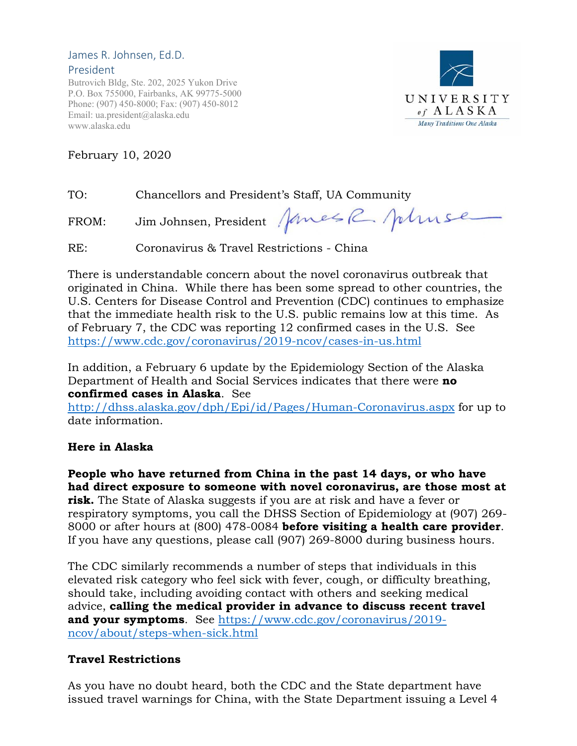#### James R. Johnsen, Ed.D. President

Butrovich Bldg, Ste. 202, 2025 Yukon Drive P.O. Box 755000, Fairbanks, AK 99775-5000 Phone: (907) 450-8000; Fax: (907) 450-8012 Email: ua.president@alaska.edu www.alaska.edu



February 10, 2020

TO: Chancellors and President's Staff, UA Community

FROM: Jim Johnsen, President Janes R. Johnse

RE: Coronavirus & Travel Restrictions - China

There is understandable concern about the novel coronavirus outbreak that originated in China. While there has been some spread to other countries, the U.S. Centers for Disease Control and Prevention (CDC) continues to emphasize that the immediate health risk to the U.S. public remains low at this time. As of February 7, the CDC was reporting 12 confirmed cases in the U.S. See https://www.cdc.gov/coronavirus/2019-ncov/cases-in-us.html

In addition, a February 6 update by the Epidemiology Section of the Alaska Department of Health and Social Services indicates that there were **no confirmed cases in Alaska**. See

http://dhss.alaska.gov/dph/Epi/id/Pages/Human-Coronavirus.aspx for up to date information.

# **Here in Alaska**

**People who have returned from China in the past 14 days, or who have had direct exposure to someone with novel coronavirus, are those most at risk.** The State of Alaska suggests if you are at risk and have a fever or respiratory symptoms, you call the DHSS Section of Epidemiology at (907) 269- 8000 or after hours at (800) 478-0084 **before visiting a health care provider**. If you have any questions, please call (907) 269-8000 during business hours.

The CDC similarly recommends a number of steps that individuals in this elevated risk category who feel sick with fever, cough, or difficulty breathing, should take, including avoiding contact with others and seeking medical advice, **calling the medical provider in advance to discuss recent travel and your symptoms**. See https://www.cdc.gov/coronavirus/2019 ncov/about/steps-when-sick.html

# **Travel Restrictions**

As you have no doubt heard, both the CDC and the State department have issued travel warnings for China, with the State Department issuing a Level 4